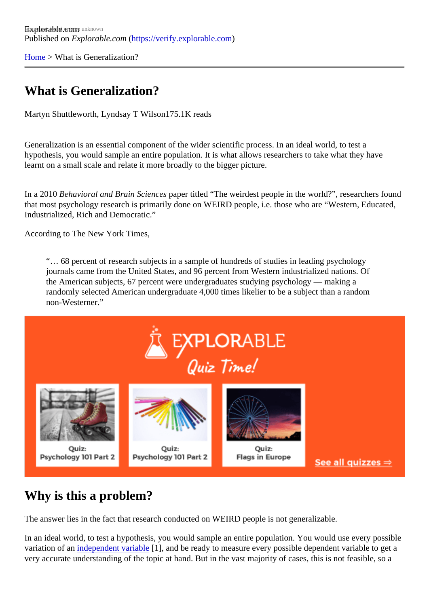[Home](https://verify.explorable.com/) > What is Generalization?

## What is Generalization?

Martyn Shuttleworth, Lyndsay T Wilsom75.1K reads

Generalization is an essential component of the wider scientific process. In an ideal world, to test a hypothesis, you would sample an entire population. It is what allows researchers to take what they have learnt on a small scale and relate it more broadly to the bigger picture.

In a 2010 Behavioral and Brain Sciences per titled "The weirdest people in the world?", researchers found that most psychology research is primarily done on WEIRD people, i.e. those who are "Western, Educated Industrialized, Rich and Democratic."

According to The New York Times,

"… 68 percent of research subjects in a sample of hundreds of studies in leading psychology journals came from the United States, and 96 percent from Western industrialized nations. Of the American subjects, 67 percent were undergraduates studying psychology — making a randomly selected American undergraduate 4,000 times likelier to be a subject than a random non-Westerner."

### Why is this a problem?

The answer lies in the fact that research conducted on WEIRD people is not generalizable.

In an ideal world, to test a hypothesis, you would sample an entire population. You would use every possil variation of anndependent variable], and be ready to measure every possible dependent variable to get a very accurate understanding of the topic at hand. But in the vast majority of cases, this is not feasible, so a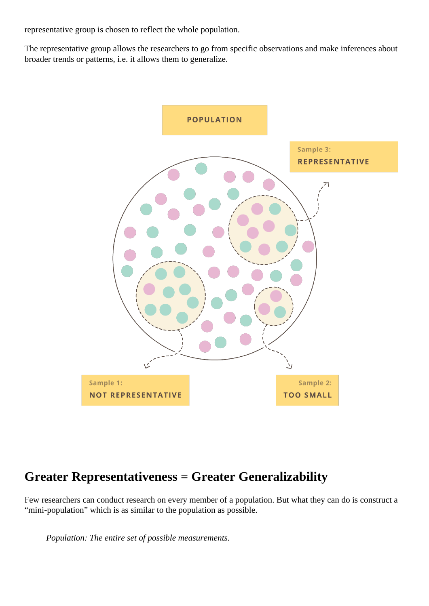representative group is chosen to reflect the whole population.

The representative group allows the researchers to go from specific observations and make inferences about broader trends or patterns, i.e. it allows them to generalize.



### **Greater Representativeness = Greater Generalizability**

Few researchers can conduct research on every member of a population. But what they can do is construct a "mini-population" which is as similar to the population as possible.

*Population: The entire set of possible measurements.*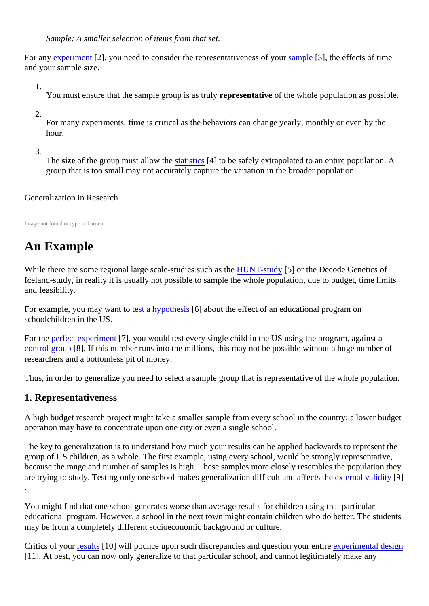Sample: A smaller selection of items from that set.

For an[y experimen](https://explorable.com/conducting-an-experiment)t [2], you need to consider the representativeness of syoundle [3], the effects of time and your sample size.

1.

You must ensure that the sample group is as teps yesentative of the whole population as possible.

2.

For many experiments is critical as the behaviors can change yearly, monthly or even by the hour.

3.

The size of the group must allow the atistics [4] to be safely extrapolated to an entire population. A group that is too small may not accurately capture the variation in the broader population.

### Generalization in Research

Image not found or type unknown

# An Example

While there are some regional large scale-studies such as the study[5] or the Decode Genetics of Iceland-study, in reality it is usually not possible to sample the whole population, due to budget, time limits and feasibility.

For example, you may want test a hypothesis about the effect of an educational program on schoolchildren in the US.

For th[e perfect experimen](https://explorable.com/design-of-experiment)t  $\mathcal{V}$ ], you would test every single child in the US using the program, against a [control group](https://explorable.com/scientific-control-group)[8]. If this number runs into the millions, this may not be possible without a huge number of researchers and a bottomless pit of money.

Thus, in order to generalize you need to select a sample group that is representative of the whole population.

### 1. Representativeness

A high budget research project might take a smaller sample from every school in the country; a lower budget operation may have to concentrate upon one city or even a single school.

The key to generalization is to understand how much your results can be applied backwards to represent to group of US children, as a whole. The first example, using every school, would be strongly representative, because the range and number of samples is high. These samples more closely resembles the population are trying to study. Testing only one school makes generalization difficult and affects the validity[9] .

You might find that one school generates worse than average results for children using that particular educational program. However, a school in the next town might contain children who do better. The studer may be from a completely different socioeconomic background or culture.

Critics of yourresults[10] will pounce upon such discrepancies and question your expresimental design [11]. At best, you can now only generalize to that particular school, and cannot legitimately make any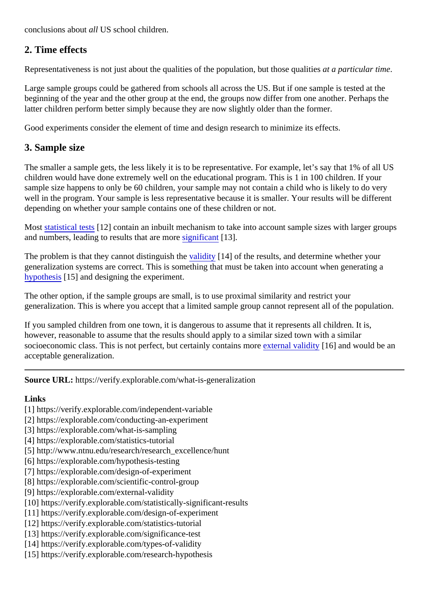conclusions about Il US school children.

### 2. Time effects

Representativeness is not just about the qualities of the population, but those qualipesticular time.

Large sample groups could be gathered from schools all across the US. But if one sample is tested at the beginning of the year and the other group at the end, the groups now differ from one another. Perhaps the latter children perform better simply because they are now slightly older than the former.

Good experiments consider the element of time and design research to minimize its effects.

#### 3. Sample size

The smaller a sample gets, the less likely it is to be representative. For example, let's say that 1% of all US children would have done extremely well on the educational program. This is 1 in 100 children. If your sample size happens to only be 60 children, your sample may not contain a child who is likely to do very well in the program. Your sample is less representative because it is smaller. Your results will be different depending on whether your sample contains one of these children or not.

Most [statistical test](https://verify.explorable.com/statistics-tutorial)s[12] contain an inbuilt mechanism to take into account sample sizes with larger groups and numbers, leading to results that are moneticant[13].

The problem is that they cannot distinguish the vality [14] of the results, and determine whether your generalization systems are correct. This is something that must be taken into account when generating a [hypothesi](https://verify.explorable.com/research-hypothesis)s<sup>[15]</sup> and designing the experiment.

The other option, if the sample groups are small, is to use proximal similarity and restrict your generalization. This is where you accept that a limited sample group cannot represent all of the population.

If you sampled children from one town, it is dangerous to assume that it represents all children. It is, however, reasonable to assume that the results should apply to a similar sized town with a similar socioeconomic class. This is not perfect, but certainly contains enternal validity[16] and would be an acceptable generalization.

Source URL: https://verify.explorable.com/what-is-generalization

Links

- [1] https://verify.explorable.com/independent-variable
- [2] https://explorable.com/conducting-an-experiment
- [3] https://explorable.com/what-is-sampling
- [4] https://explorable.com/statistics-tutorial
- [5] http://www.ntnu.edu/research/research\_excellence/hunt
- [6] https://explorable.com/hypothesis-testing
- [7] https://explorable.com/design-of-experiment
- [8] https://explorable.com/scientific-control-group
- [9] https://explorable.com/external-validity
- [10] https://verify.explorable.com/statistically-significant-results
- [11] https://verify.explorable.com/design-of-experiment
- [12] https://verify.explorable.com/statistics-tutorial
- [13] https://verify.explorable.com/significance-test
- [14] https://verify.explorable.com/types-of-validity
- [15] https://verify.explorable.com/research-hypothesis